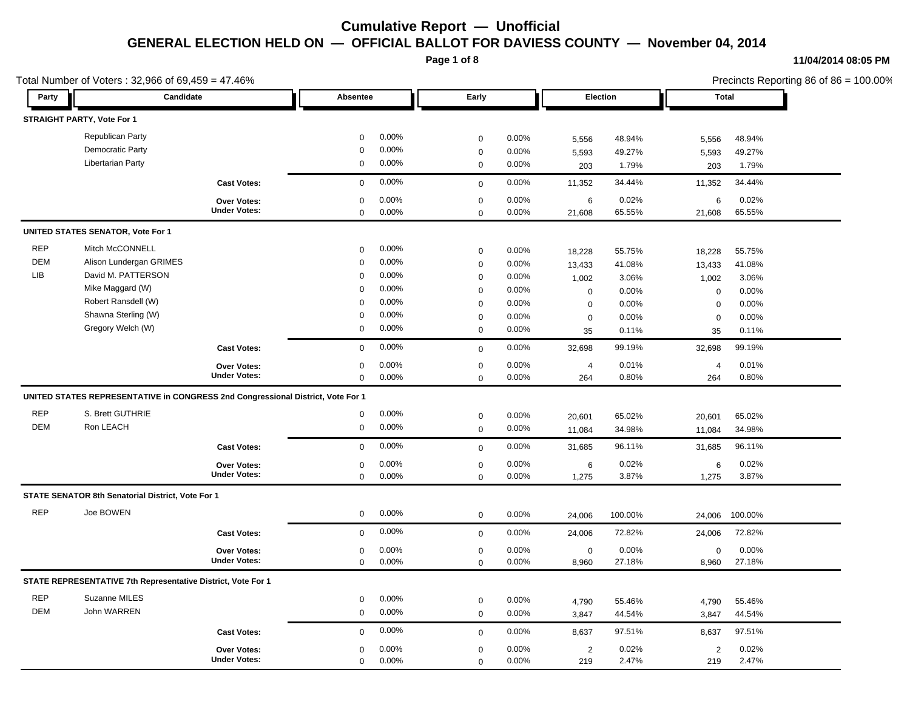**Page 1 of 8**

#### **11/04/2014 08:05 PM**

Precincts Reporting 86 of 86 = 100.00%

|            | Total Number of Voters: 32,966 of 69,459 = 47.46%                               |                     |             |          |                  |          |                  |          | Precincts Reporting 86 of 86 = 100.00% |              |  |
|------------|---------------------------------------------------------------------------------|---------------------|-------------|----------|------------------|----------|------------------|----------|----------------------------------------|--------------|--|
| Party      | Candidate                                                                       |                     | Absentee    |          | Early            |          |                  | Election |                                        | <b>Total</b> |  |
|            | STRAIGHT PARTY, Vote For 1                                                      |                     |             |          |                  |          |                  |          |                                        |              |  |
|            | Republican Party                                                                |                     | 0           | 0.00%    | $\mathbf 0$      | 0.00%    | 5,556            | 48.94%   | 5,556                                  | 48.94%       |  |
|            | Democratic Party                                                                |                     | $\mathbf 0$ | 0.00%    | $\mathbf 0$      | 0.00%    | 5,593            | 49.27%   | 5,593                                  | 49.27%       |  |
|            | <b>Libertarian Party</b>                                                        |                     | 0           | 0.00%    | $\mathbf 0$      | 0.00%    | 203              | 1.79%    | 203                                    | 1.79%        |  |
|            |                                                                                 | <b>Cast Votes:</b>  | $\mathbf 0$ | 0.00%    | $\mathbf 0$      | 0.00%    | 11,352           | 34.44%   | 11,352                                 | 34.44%       |  |
|            |                                                                                 | Over Votes:         | 0           | 0.00%    | $\mathbf 0$      | 0.00%    | 6                | 0.02%    | 6                                      | 0.02%        |  |
|            |                                                                                 | <b>Under Votes:</b> | $\mathbf 0$ | 0.00%    | $\Omega$         | 0.00%    | 21,608           | 65.55%   | 21,608                                 | 65.55%       |  |
|            | <b>UNITED STATES SENATOR, Vote For 1</b>                                        |                     |             |          |                  |          |                  |          |                                        |              |  |
| <b>REP</b> | Mitch McCONNELL                                                                 |                     | $\mathbf 0$ | 0.00%    | $\mathbf 0$      | $0.00\%$ | 18,228           | 55.75%   | 18,228                                 | 55.75%       |  |
| <b>DEM</b> | Alison Lundergan GRIMES                                                         |                     | $\Omega$    | 0.00%    | $\mathbf 0$      | 0.00%    | 13,433           | 41.08%   | 13,433                                 | 41.08%       |  |
| <b>LIB</b> | David M. PATTERSON                                                              |                     | $\mathbf 0$ | 0.00%    | $\mathbf 0$      | $0.00\%$ | 1,002            | 3.06%    | 1,002                                  | 3.06%        |  |
|            | Mike Maggard (W)                                                                |                     | $\mathbf 0$ | 0.00%    | $\boldsymbol{0}$ | 0.00%    | 0                | 0.00%    | $\mathbf 0$                            | 0.00%        |  |
|            | Robert Ransdell (W)                                                             |                     | $\Omega$    | 0.00%    | $\mathbf 0$      | 0.00%    | 0                | 0.00%    | 0                                      | 0.00%        |  |
|            | Shawna Sterling (W)                                                             |                     | $\mathbf 0$ | 0.00%    | $\mathbf 0$      | 0.00%    | $\boldsymbol{0}$ | 0.00%    | $\mathbf 0$                            | 0.00%        |  |
|            | Gregory Welch (W)                                                               |                     | 0           | 0.00%    | $\mathbf 0$      | 0.00%    | 35               | 0.11%    | 35                                     | 0.11%        |  |
|            |                                                                                 | <b>Cast Votes:</b>  | $\mathbf 0$ | 0.00%    | $\mathbf 0$      | 0.00%    | 32,698           | 99.19%   | 32,698                                 | 99.19%       |  |
|            |                                                                                 | <b>Over Votes:</b>  | 0           | 0.00%    | $\mathbf 0$      | 0.00%    | $\overline{4}$   | 0.01%    | $\overline{4}$                         | 0.01%        |  |
|            |                                                                                 | <b>Under Votes:</b> | 0           | $0.00\%$ | $\mathbf 0$      | 0.00%    | 264              | 0.80%    | 264                                    | 0.80%        |  |
|            | UNITED STATES REPRESENTATIVE in CONGRESS 2nd Congressional District, Vote For 1 |                     |             |          |                  |          |                  |          |                                        |              |  |
| <b>REP</b> | S. Brett GUTHRIE                                                                |                     | $\mathbf 0$ | $0.00\%$ | $\mathbf 0$      | 0.00%    | 20,601           | 65.02%   | 20,601                                 | 65.02%       |  |
| <b>DEM</b> | Ron LEACH                                                                       |                     | 0           | $0.00\%$ | $\mathbf 0$      | 0.00%    | 11,084           | 34.98%   | 11,084                                 | 34.98%       |  |
|            |                                                                                 | <b>Cast Votes:</b>  | $\mathbf 0$ | 0.00%    | $\mathbf 0$      | 0.00%    | 31,685           | 96.11%   | 31,685                                 | 96.11%       |  |
|            |                                                                                 | Over Votes:         | 0           | 0.00%    | $\boldsymbol{0}$ | 0.00%    | 6                | 0.02%    | $\,6$                                  | 0.02%        |  |
|            |                                                                                 | <b>Under Votes:</b> | $\mathbf 0$ | 0.00%    | $\Omega$         | 0.00%    | 1,275            | 3.87%    | 1,275                                  | 3.87%        |  |
|            | STATE SENATOR 8th Senatorial District, Vote For 1                               |                     |             |          |                  |          |                  |          |                                        |              |  |
| <b>REP</b> | Joe BOWEN                                                                       |                     | 0           | $0.00\%$ | $\mathbf 0$      | 0.00%    | 24,006           | 100.00%  | 24,006                                 | 100.00%      |  |
|            |                                                                                 | <b>Cast Votes:</b>  | $\mathbf 0$ | $0.00\%$ | $\mathbf 0$      | 0.00%    | 24,006           | 72.82%   | 24,006                                 | 72.82%       |  |
|            |                                                                                 | Over Votes:         | 0           | 0.00%    | 0                | 0.00%    | 0                | 0.00%    | $\mathbf 0$                            | 0.00%        |  |
|            |                                                                                 | <b>Under Votes:</b> | 0           | 0.00%    | $\mathbf 0$      | 0.00%    | 8,960            | 27.18%   | 8,960                                  | 27.18%       |  |
|            | STATE REPRESENTATIVE 7th Representative District, Vote For 1                    |                     |             |          |                  |          |                  |          |                                        |              |  |
| <b>REP</b> | Suzanne MILES                                                                   |                     | 0           | 0.00%    | $\mathbf 0$      | 0.00%    | 4,790            | 55.46%   | 4,790                                  | 55.46%       |  |
| <b>DEM</b> | John WARREN                                                                     |                     | 0           | 0.00%    | $\mathbf 0$      | 0.00%    | 3,847            | 44.54%   | 3,847                                  | 44.54%       |  |
|            |                                                                                 | <b>Cast Votes:</b>  | $\mathbf 0$ | 0.00%    | $\mathbf 0$      | 0.00%    | 8,637            | 97.51%   | 8,637                                  | 97.51%       |  |
|            |                                                                                 | Over Votes:         | $\mathbf 0$ | 0.00%    | $\mathbf 0$      | 0.00%    | $\overline{2}$   | 0.02%    | $\overline{2}$                         | 0.02%        |  |
|            |                                                                                 | <b>Under Votes:</b> | $\mathbf 0$ | 0.00%    | $\mathbf 0$      | 0.00%    | 219              | 2.47%    | 219                                    | 2.47%        |  |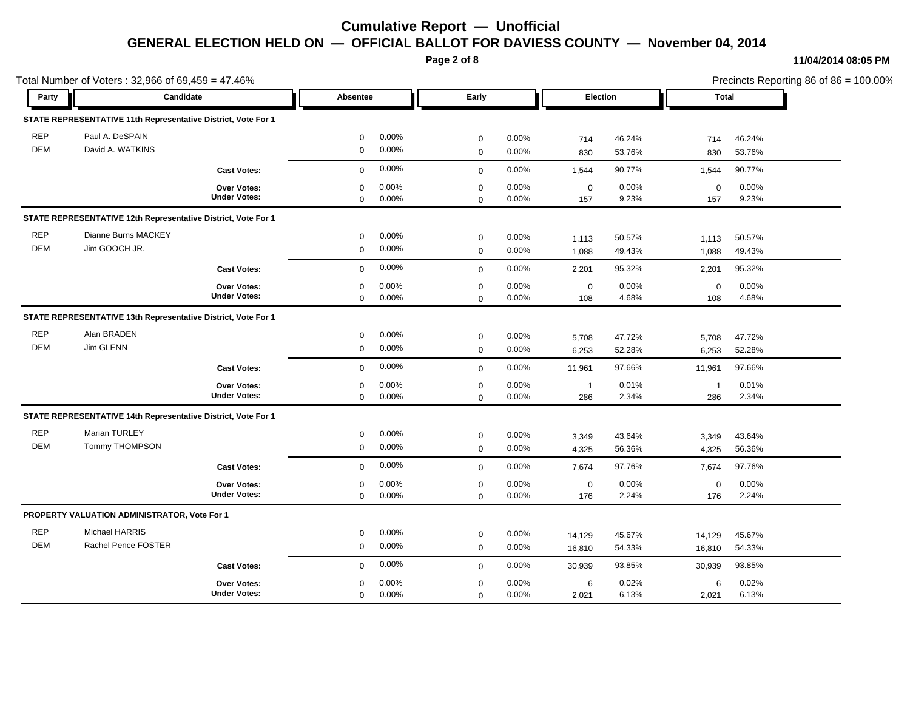**Page 2 of 8**

#### **11/04/2014 08:05 PM**

Total Number of Voters : 32,966 of 69,459 = 47.46% Precincts Reporting 86 of 86 = 100.00% **Party Candidate Absentee Early Election Total STATE REPRESENTATIVE 11th Representative District, Vote For 1** REP Paul A. DeSPAIN 0 0.00% 0 0.00% 714 46.24% 714 46.24% DEM David A. WATKINS 0 0.00% 0 0.00% 830 53.76% 830 53.76% **Cast Votes:** 0 0.00% 0 0.00% 1,544 90.77% 1,544 90.77% 157 9.23% 9.23% 0 0.00% 157 0.00% 0 0.00% **Under Votes: Over Votes:** 0.00% 0  $0.00\%$  0.00% 0.00% 0.00% 0.00% 0.00% 0 0.00% 0 0.00% 0 0.00% **STATE REPRESENTATIVE 12th Representative District, Vote For 1** REP Dianne Burns MACKEY 0 0.00% 0 0.00% 1,113 50.57% 1,113 50.57% DEM Jim GOOCH JR. 0 0.00% 0 0.00% 1,088 49.43% 1,088 49.43% **Cast Votes:** 0 0.00% 0 0.00% 2,201 95.32% 2,201 95.32% 108 4.68% 4.68% 0 0.00% 108 0.00% 0 0.00% **Under Votes: Over Votes:** 0.00% 0  $0.00\%$  0.00% 0.00% 0.00% 0.00% 0.00% 0 0.00%  $0.00\%$ 0 0.00% **STATE REPRESENTATIVE 13th Representative District, Vote For 1** REP Alan BRADEN 0 0.00% 0 0.00% 5,708 47.72% 5,708 47.72% DEM Jim GLENN 0 0.00% 0 0.00% 6,253 52.28% 6,253 52.28% **Cast Votes:** 0 0.00% 0 0.00% 11,961 97.66% 11,961 97.66% 286 2.34% 2.34% 1 0.01% 286 0.00% 1 0.00% **Under Votes: Over Votes:** 0.00% 0  $0.00\%$  0.00% 1 0.01% 1 0.01% 1 0.01% 0 0.00%  $0.00\%$  $0\qquad 0.00\%$ **STATE REPRESENTATIVE 14th Representative District, Vote For 1** REP Marian TURLEY 0 0.00% 0 0.00% 3,349 43.64% 3,349 43.64% DEM Tommy THOMPSON 0 0.00% 0 0.00% 4,325 56.36% 4,325 56.36% **Cast Votes:** 0 0.00% 0 0.00% 7,674 97.76% 7,674 97.76% 176 2.24% 2.24% 0 0.00% 176 0.00% 0 0.00% **Under Votes: Over Votes:** 0.00% 0  $0.00\%$  0.00% 0.00% 0.00% 0.00% 0.00% 0 0.00% 0 0.00% 0 0.00% **PROPERTY VALUATION ADMINISTRATOR, Vote For 1** REP Michael HARRIS 0 0.00% 0 0.00% 14,129 45.67% 14,129 45.67% DEM Rachel Pence FOSTER 0 0.00% 0 0.00% 16,810 54.33% 16,810 54.33% **Cast Votes:** 0 0.00% 0 0.00% 30,939 93.85% 30,939 93.85% 2,021 6.13% 6.13% 6 0.02% 6.13% 6 0.00% **Under Votes: Over Votes:** 2.021 0.00%  $0.00\%$  0.00% 6 0.02% 6 0.02% 6 0.02%  $0.00\%$ 0 0.00%  $0.00\%$  $\Omega$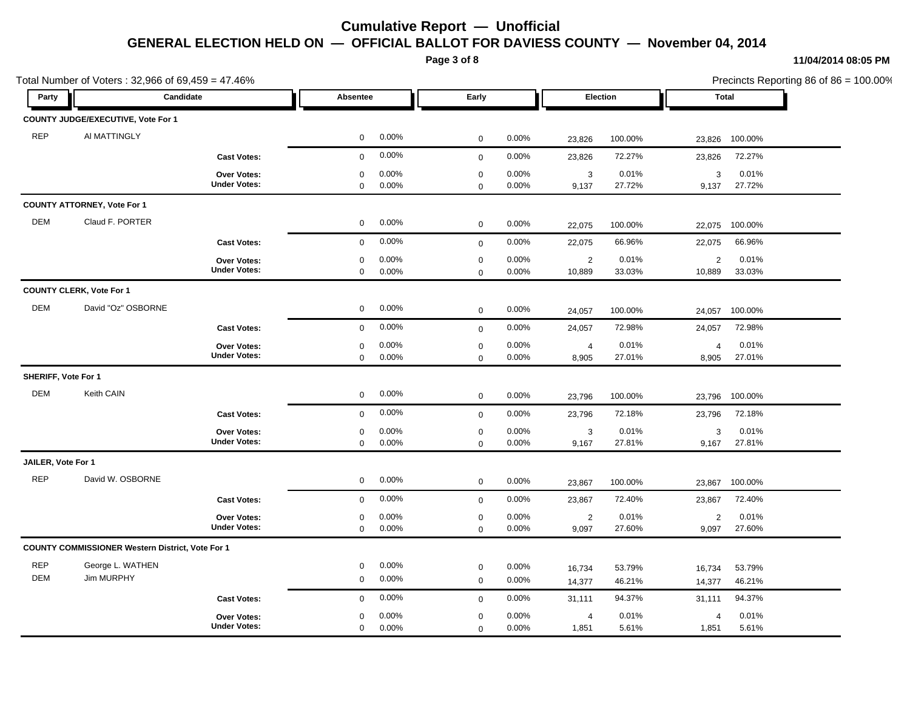**Page 3 of 8**

Total Number of Voters : 32,966 of 69,459 = 47.46%

#### **11/04/2014 08:05 PM**

Precincts Reporting 86 of 86 = 100.00% **Party Candidate Absentee Early Election Total COUNTY JUDGE/EXECUTIVE, Vote For 1** REP AI MATTINGLY 0 0.00% 0 0.00% 23,826 100.00% 23,826 100.00% **Cast Votes:** 0 0.00% 0 0.00% 23,826 72.27% 23,826 72.27% 9,137 27.72% 27.72% 3 0.01% 9,137 0.00% 3 0.00% **Under Votes: Over Votes:** 0.00% 0  $0.00\%$  0.00% 3 0.01% 3 0.01% 3 0.01%  $0$  0.00%  $0.00\%$  $0\qquad 0.00\%$ **COUNTY ATTORNEY, Vote For 1** DEM Claud F. PORTER 0 0.00% 0 0.00% 22,075 100.00% 22,075 100.00% **Cast Votes:** 0 0.00% 0 0.00% 22,075 66.96% 22,075 66.96% 10,889 33.03% 33.03% 2 0.01% 10,889 0.00% 2 0.00% **Under Votes: Over Votes:** 0.00% 0  $0.00\%$  0.00% 2 0.01% 2 0.01% 2 0.01%  $0$  0.00% 0 0.00% 0 0.00% **COUNTY CLERK, Vote For 1** DEM David "Oz" OSBORNE 0 0.00% 0 0.00% 24,057 100.00% 24,057 100.00% **Cast Votes:** 0 0.00% 0 0.00% 24,057 72.98% 24,057 72.98% 8,905 27.01% 27.01% 4 0.01% 8,905 0.00% 4 0.00% **Under Votes: Over Votes:** 0.00% 0  $0.00\%$  0.00% 4 0.01% 4 0.01% 4 0.01%  $0$  0.00%  $0.00\%$ 0 0.00% **SHERIFF, Vote For 1** DEM Keith CAIN 0 0.00% 0 0.00% 23,796 100.00% 23,796 100.00% **Cast Votes:** 0 0.00% 0 0.00% 23,796 72.18% 23,796 72.18% 9,167 27.81% 27.81% 3 0.01% 9,167 0.00% 3 0.00% **Under Votes: Over Votes:** 0.00% 0  $0.00\%$  0.00% 3 0.01% 3 0.01% 3 0.01%  $0.00\%$ 0 0.00%  $0.00\%$ **JAILER, Vote For 1** REP David W. OSBORNE 0 0.00% 0 0.00% 23,867 100.00% 23,867 100.00% **Cast Votes:** 0 0.00% 0 0.00% 23,867 72.40% 23,867 72.40% 9,097 27.60% 27.60% 2 0.01% 9,097 0.00% 2 0.00% **Under Votes: Over Votes:** 0.00% 0  $0.00\%$  0.00% 2 0.01% 2 0.01% 2 0.01% 0 0.00% 0 0.00% 0 0.00% **COUNTY COMMISSIONER Western District, Vote For 1** REP George L. WATHEN 0 0.00% 0 0.00% 16,734 53.79% 16,734 53.79% DEM Jim MURPHY 0 0.00% 0 0.00% 14,377 46.21% 14,377 46.21% **Cast Votes:** 0 0.00% 0 0.00% 31,111 94.37% 31,111 94.37% 1,851 5.61% 4 0.01% 1,851 0.00% 5.61% 4 0.00% **Under Votes: Over Votes:** 0.00%  $0.00\%$  0.00% 4 0.01% 4 0.01% 4 0.01% 0 0.00%  $0\qquad 0.00\%$ 0 0.00% 0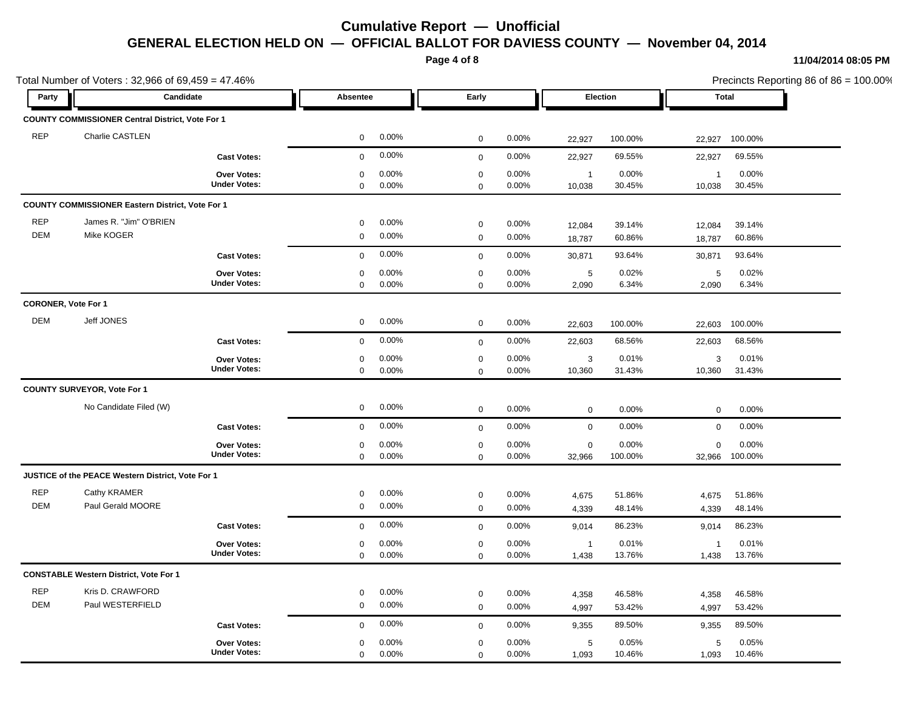**Page 4 of 8**

#### **11/04/2014 08:05 PM**

1,093 10.46% 10.46%

5 0.05%

Total Number of Voters : 32,966 of 69,459 = 47.46% Precincts Reporting 86 of 86 = 100.00% **Party Candidate Absentee Early Election Total COUNTY COMMISSIONER Central District, Vote For 1** REP Charlie CASTLEN 0 0.00% 0 0.00% 22,927 100.00% 22,927 100.00% **Cast Votes:** 0 0.00% 0 0.00% 22,927 69.55% 22,927 69.55% 10,038 30.45% 30.45% 1 0.00% 10,038 0.00% 1 0.00% **Under Votes: Over Votes:** 0.00% 0  $0.00\%$  0.00% 1 0.00% 1 0.00% 1 0.00%  $0$  0.00%  $0.00\%$  $0\qquad 0.00\%$ **COUNTY COMMISSIONER Eastern District, Vote For 1** REP James R. "Jim" O'BRIEN 0 0.00% 0 0.00% 12,084 39.14% 12,084 39.14% DEM Mike KOGER 0 0.00% 0 0.00% 18,787 60.86% 18,787 60.86% **Cast Votes:** 0 0.00% 0 0.00% 30,871 93.64% 30,871 93.64% 2,090 6.34% 6.34% 5 0.02% 2.090 6.34% 5 0.00% **Under Votes: Over Votes:** 0.00% 0.00% 0  $0.00\%$  0.00% 5 0.02% 5 0.02% 5 0.02% 0 0.00% 0 0.00% 0 0.00% **CORONER, Vote For 1** DEM Jeff JONES 0 0.00% 0 0.00% 22,603 100.00% 22,603 100.00% **Cast Votes:** 0 0.00% 0 0.00% 22,603 68.56% 22,603 68.56% 10,360 31.43% 3 0.01% 10,360 0.00% 3 0.00% **Under Votes: Over Votes:** 31.43%  $0.00\%$  0.00%  $0.00\%$  0.00% 3 0.01% 3 0.01% 3 0.01%  $0\qquad 0.00\%$ 0 0.00%  $0\qquad 0.00\%$ **COUNTY SURVEYOR, Vote For 1** No Candidate Filed (W) 0 0.00% 0 0.00% 0 0.00% 0 0.00% **Cast Votes:** 0 0.00% 0 0.00% 0 0.00% 0 0.00% 32,966 100.00% 100.00% 0 0.00% 32,966 0.00% 0 0.00% **Under Votes: Over Votes:**  $0.00\%$  (0.00%)  $0.00\%$  0.00% 0.00% 0.00% 0.00% 0.00% 0 0.00% 0 0.00% 0 0.00% **JUSTICE of the PEACE Western District, Vote For 1** REP Cathy KRAMER 0 0.00% 0 0.00% 4,675 51.86% 4,675 51.86% DEM Paul Gerald MOORE 0 0.00% 0 0.00% 4,339 48.14% 4,339 48.14% **Cast Votes:** 0 0.00% 0 0.00% 9,014 86.23% 9,014 86.23% 1,438 13.76% 13.76% 1 0.01% 1,438 0.00% 1 0.00% **Under Votes: Over Votes:** 0.00% 0  $0.00\%$  0.00% 1 0.01% 1 0.01% 1 0.01% 0 0.00% 0 0.00% 0 0.00% **CONSTABLE Western District, Vote For 1** REP Kris D. CRAWFORD 0 0.00% 0 0.00% 4,358 46.58% 4,358 46.58% DEM Paul WESTERFIELD 0 0.00% 0 0.00% 4,997 53.42% 4,997 53.42%

> $0$  0.00% 0 0.00%

**Under Votes: Over Votes:**

**Cast Votes:** 0 0.00% 0 0.00% 9,355 89.50% 9,355 89.50%

0.00%

0 0.00%

0

 1,093 0.00% 5 0.00%

 $0.00\%$  0.00% 5 0.05% 5 0.05% 5 0.05%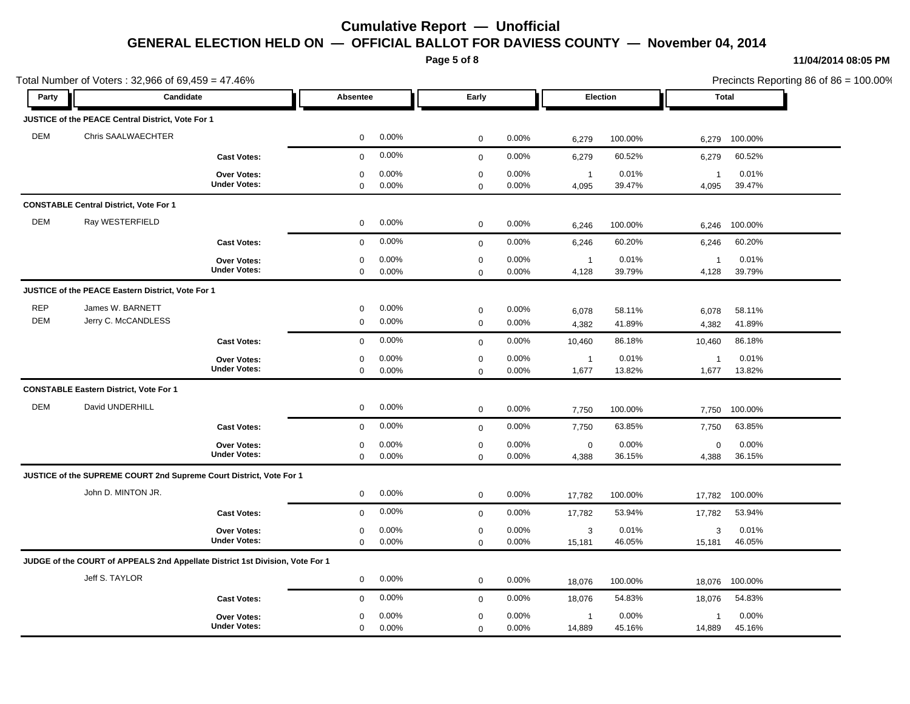**Page 5 of 8**

### **11/04/2014 08:05 PM**

Total Number of Voters : 32,966 of 69,459 = 47.46% Precincts Reporting 86 of 86 = 100.00% **Party Candidate Absentee Early Election Total JUSTICE of the PEACE Central District, Vote For 1** DEM Chris SAALWAECHTER 0 0.00% 0 0.00% 6,279 100.00% 6,279 100.00% **Cast Votes:** 0 0.00% 0 0.00% 6,279 60.52% 6,279 60.52% 4,095 39.47% 39.47% 1 0.01% 4,095 0.00% 1 0.00% **Under Votes: Over Votes:** 0.00% 0  $0.00\%$  0.00% 1 0.01% 1 0.01% 1 0.01%  $0\qquad 0.00\%$  $0.00\%$  $0\qquad 0.00\%$ **CONSTABLE Central District, Vote For 1** DEM Ray WESTERFIELD 0 0.00% 0 0.00% 6,246 100.00% 6,246 100.00% **Cast Votes:** 0 0.00% 0 0.00% 6,246 60.20% 6,246 60.20% 4,128 39.79% 39.79% 1 0.01% 4,128 0.00% 1 0.00% **Under Votes: Over Votes:** 0.00% 0  $0.00\%$  0.00% 1 0.01% 1 0.01% 1 0.01% 0 0.00% 0 0.00% 0 0.00% **JUSTICE of the PEACE Eastern District, Vote For 1** REP James W. BARNETT 0 0.00% 0 0.00% 6,078 58.11% 6,078 58.11% DEM Jerry C. McCANDLESS 0 0.00% 0 0.00% 4,382 41.89% 4,382 41.89% **Cast Votes:** 0 0.00% 0 0.00% 10,460 86.18% 10,460 86.18% 1,677 13.82% 13.82% 1 0.01% 1,677 0.00% 1 0.00% **Under Votes: Over Votes:** 0.00% 0  $0.00\%$  0.00% 1 0.01% 1 0.01% 1 0.01%  $0\qquad 0.00\%$  $0.00\%$ 0 0.00% **CONSTABLE Eastern District, Vote For 1** DEM David UNDERHILL 0 0.00% 0 0.00% 7,750 100.00% 7,750 100.00% **Cast Votes:** 0 0.00% 0 0.00% 7,750 63.85% 7,750 63.85% 4,388 36.15% 36.15% 0 0.00% 4,388 0.00% 0 0.00% **Under Votes: Over Votes:** 0.00% 0  $0.00\%$  0.00% 0.00% 0.00% 0.00% 0.00% 0 0.00% 0 0.00% 0 0.00% **JUSTICE of the SUPREME COURT 2nd Supreme Court District, Vote For 1** John D. MINTON JR. 0 0.00% 0 0.00% 17,782 100.00% 17,782 100.00% **Cast Votes:** 0 0.00% 0 0.00% 17,782 53.94% 17,782 53.94% 15,181 46.05% 46.05% 3 0.01% 15,181 0.00% 3 0.00% **Under Votes: Over Votes:**  $0.00\%$  0.00%  $0.00\%$  0.00% 3 0.01% 3 0.01% 3 0.01% 0 0.00% 0 0.00% 0 0.00% **JUDGE of the COURT of APPEALS 2nd Appellate District 1st Division, Vote For 1** Jeff S. TAYLOR 0 0.00% 0 0.00% 18,076 100.00% 18,076 100.00% **Cast Votes:** 0 0.00% 0 0.00% 18,076 54.83% 18,076 54.83% 14,889 45.16% 45.16% 1 0.00% 14,889 0.00% 1 0.00% **Under Votes: Over Votes:** 0.00%  $0.00\%$  0.00% 1 0.00% 1 0.00% 1 0.00% 0 0.00%  $0\qquad 0.00\%$ 0 0.00% 0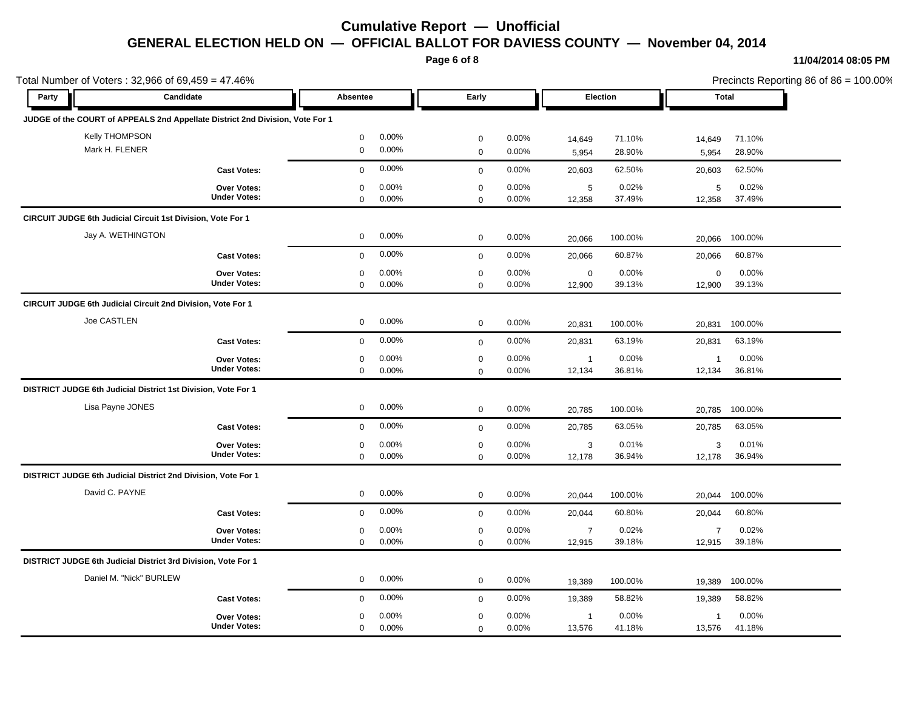**Page 6 of 8**

### **11/04/2014 08:05 PM**

|                    | Total Number of Voters: $32,966$ of $69,459 = 47.46\%$                        |             |          |             |          |                 |         | Precincts Reporting 86 of 86 = 100.00% |         |  |  |
|--------------------|-------------------------------------------------------------------------------|-------------|----------|-------------|----------|-----------------|---------|----------------------------------------|---------|--|--|
| Candidate<br>Party |                                                                               | Absentee    |          | Early       |          | <b>Election</b> |         | Total                                  |         |  |  |
|                    | JUDGE of the COURT of APPEALS 2nd Appellate District 2nd Division, Vote For 1 |             |          |             |          |                 |         |                                        |         |  |  |
|                    | <b>Kelly THOMPSON</b>                                                         | $\mathbf 0$ | 0.00%    | $\mathbf 0$ | 0.00%    | 14,649          | 71.10%  | 14,649                                 | 71.10%  |  |  |
|                    | Mark H. FLENER                                                                | $\mathbf 0$ | 0.00%    | $\mathbf 0$ | 0.00%    | 5,954           | 28.90%  | 5,954                                  | 28.90%  |  |  |
|                    | <b>Cast Votes:</b>                                                            | $\mathbf 0$ | 0.00%    | $\mathbf 0$ | 0.00%    | 20,603          | 62.50%  | 20,603                                 | 62.50%  |  |  |
|                    | <b>Over Votes:</b>                                                            | $\mathbf 0$ | 0.00%    | $\mathbf 0$ | 0.00%    | $\sqrt{5}$      | 0.02%   | 5                                      | 0.02%   |  |  |
|                    | <b>Under Votes:</b>                                                           | 0           | 0.00%    | $\mathbf 0$ | 0.00%    | 12,358          | 37.49%  | 12,358                                 | 37.49%  |  |  |
|                    | <b>CIRCUIT JUDGE 6th Judicial Circuit 1st Division, Vote For 1</b>            |             |          |             |          |                 |         |                                        |         |  |  |
|                    | Jay A. WETHINGTON                                                             | $\mathbf 0$ | 0.00%    | $\mathbf 0$ | 0.00%    | 20,066          | 100.00% | 20,066                                 | 100.00% |  |  |
|                    | <b>Cast Votes:</b>                                                            | $\mathbf 0$ | 0.00%    | $\mathbf 0$ | 0.00%    | 20,066          | 60.87%  | 20,066                                 | 60.87%  |  |  |
|                    | <b>Over Votes:</b>                                                            | 0           | 0.00%    | $\mathbf 0$ | 0.00%    | $\mathsf 0$     | 0.00%   | $\mathbf 0$                            | 0.00%   |  |  |
|                    | <b>Under Votes:</b>                                                           | $\mathbf 0$ | 0.00%    | $\mathbf 0$ | 0.00%    | 12,900          | 39.13%  | 12,900                                 | 39.13%  |  |  |
|                    | CIRCUIT JUDGE 6th Judicial Circuit 2nd Division, Vote For 1                   |             |          |             |          |                 |         |                                        |         |  |  |
|                    | Joe CASTLEN                                                                   | $\mathbf 0$ | $0.00\%$ | $\mathbf 0$ | 0.00%    | 20,831          | 100.00% | 20,831                                 | 100.00% |  |  |
|                    | <b>Cast Votes:</b>                                                            | $\mathbf 0$ | 0.00%    | $\mathbf 0$ | 0.00%    | 20,831          | 63.19%  | 20,831                                 | 63.19%  |  |  |
|                    | <b>Over Votes:</b>                                                            | 0           | 0.00%    | $\mathbf 0$ | 0.00%    | $\overline{1}$  | 0.00%   | $\overline{1}$                         | 0.00%   |  |  |
|                    | <b>Under Votes:</b>                                                           | $\mathbf 0$ | 0.00%    | $\mathbf 0$ | 0.00%    | 12,134          | 36.81%  | 12,134                                 | 36.81%  |  |  |
|                    | DISTRICT JUDGE 6th Judicial District 1st Division, Vote For 1                 |             |          |             |          |                 |         |                                        |         |  |  |
|                    | Lisa Payne JONES                                                              | $\mathbf 0$ | 0.00%    | $\mathbf 0$ | 0.00%    | 20,785          | 100.00% | 20,785                                 | 100.00% |  |  |
|                    | <b>Cast Votes:</b>                                                            | $\mathbf 0$ | 0.00%    | $\mathbf 0$ | 0.00%    | 20,785          | 63.05%  | 20,785                                 | 63.05%  |  |  |
|                    | <b>Over Votes:</b>                                                            | $\Omega$    | 0.00%    | $\mathbf 0$ | 0.00%    | 3               | 0.01%   | 3                                      | 0.01%   |  |  |
|                    | <b>Under Votes:</b>                                                           | $\mathbf 0$ | 0.00%    | $\mathbf 0$ | 0.00%    | 12,178          | 36.94%  | 12,178                                 | 36.94%  |  |  |
|                    | DISTRICT JUDGE 6th Judicial District 2nd Division, Vote For 1                 |             |          |             |          |                 |         |                                        |         |  |  |
|                    | David C. PAYNE                                                                | $\mathbf 0$ | 0.00%    | $\mathbf 0$ | 0.00%    | 20,044          | 100.00% | 20,044                                 | 100.00% |  |  |
|                    | <b>Cast Votes:</b>                                                            | $\mathbf 0$ | 0.00%    | $\mathbf 0$ | 0.00%    | 20,044          | 60.80%  | 20,044                                 | 60.80%  |  |  |
|                    | Over Votes:                                                                   | 0           | 0.00%    | $\mathbf 0$ | 0.00%    | $\overline{7}$  | 0.02%   | $\overline{7}$                         | 0.02%   |  |  |
|                    | <b>Under Votes:</b>                                                           | $\mathbf 0$ | 0.00%    | $\mathbf 0$ | 0.00%    | 12,915          | 39.18%  | 12,915                                 | 39.18%  |  |  |
|                    | DISTRICT JUDGE 6th Judicial District 3rd Division, Vote For 1                 |             |          |             |          |                 |         |                                        |         |  |  |
|                    | Daniel M. "Nick" BURLEW                                                       | $\mathbf 0$ | 0.00%    | $\mathbf 0$ | 0.00%    | 19,389          | 100.00% | 19,389                                 | 100.00% |  |  |
|                    | <b>Cast Votes:</b>                                                            | $\mathbf 0$ | 0.00%    | $\mathbf 0$ | 0.00%    | 19,389          | 58.82%  | 19,389                                 | 58.82%  |  |  |
|                    | <b>Over Votes:</b>                                                            | 0           | $0.00\%$ | $\mathbf 0$ | $0.00\%$ | $\mathbf{1}$    | 0.00%   | $\mathbf 1$                            | 0.00%   |  |  |
|                    | <b>Under Votes:</b>                                                           | $\mathbf 0$ | 0.00%    | $\Omega$    | 0.00%    | 13,576          | 41.18%  | 13,576                                 | 41.18%  |  |  |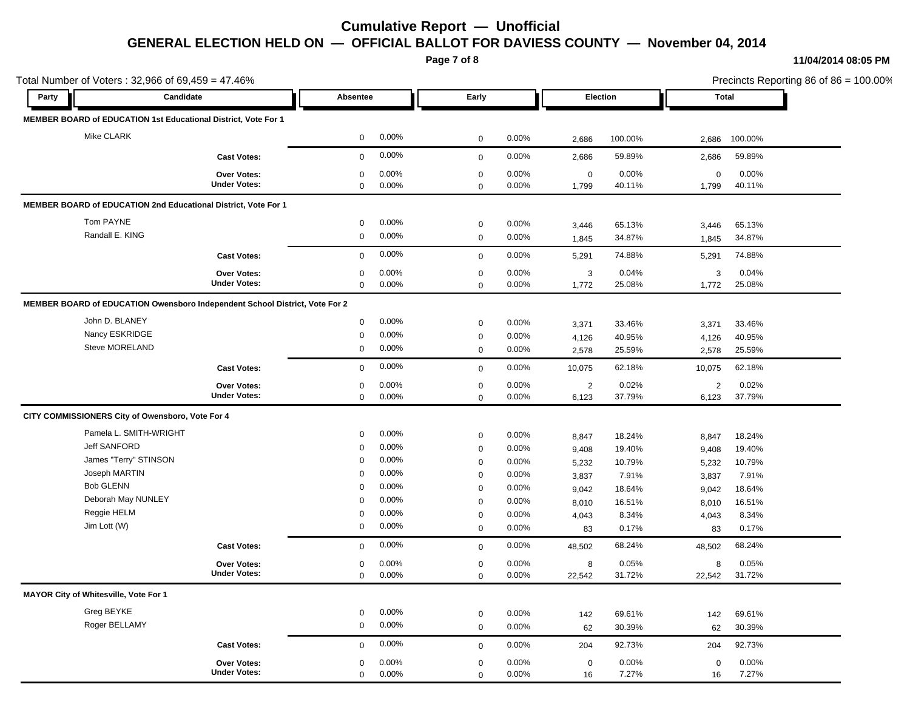**Page 7 of 8**

#### **11/04/2014 08:05 PM**

Total Number of Voters : 32,966 of 69,459 = 47.46% Precincts Reporting 86 of 86 = 100.00% **Party Candidate Absentee Early Election Total MEMBER BOARD of EDUCATION 1st Educational District, Vote For 1** Mike CLARK 0 0.00% 0 0.00% 2,686 100.00% 2,686 100.00% **Cast Votes:** 0 0.00% 0 0.00% 2,686 59.89% 2,686 59.89% 1,799 40.11% 40.11% 0 0.00% 1,799 0.00% 0 0.00% **Under Votes: Over Votes:** 0.00% 0  $0.00\%$  0.00% 0.00% 0.00% 0.00% 0.00%  $0\qquad 0.00\%$  $0.00\%$  $0\qquad 0.00\%$ **MEMBER BOARD of EDUCATION 2nd Educational District, Vote For 1**  ${\tt Tom~PAYNE}$  , the contract of  ${\tt O}$   ${\tt O}$   ${\tt O}$   ${\tt O}$   ${\tt O}$   ${\tt O}$   ${\tt O}$   ${\tt O}$   ${\tt O}$   ${\tt O}$   ${\tt O}$   ${\tt O}$   ${\tt O}$   ${\tt O}$   ${\tt O}$   ${\tt O}$   ${\tt O}$   ${\tt O}$   ${\tt O}$   ${\tt O}$   ${\tt O}$   ${\tt O}$   ${\tt O}$   ${\tt O}$   ${\tt O}$   ${\tt O}$   ${\tt O}$   ${\tt$ Randall E. KING 0 0.00% 0 0.00% 1,845 34.87% 1,845 34.87% **Cast Votes:** 0 0.00% 0 0.00% 5,291 74.88% 5,291 74.88% 1,772 25.08% 25.08% 3 0.04% 1,772 0.00% 3 0.00% **Under Votes: Over Votes:** 0.00% 0  $0.00\%$  0.00% 3 0.04% 3 0.04% 3 0.04% 0 0.00% 0 0.00% 0 0.00% **MEMBER BOARD of EDUCATION Owensboro Independent School District, Vote For 2** John D. BLANEY 0 0.00% 0 0.00% 3,371 33.46% 3,371 33.46% Nancy ESKRIDGE 0 0.00% 0 0.00% 4,126 40.95% 4,126 40.95% Steve MORELAND 0 0.00% 0 0.00% 2,578 25.59% 2,578 25.59% **Cast Votes:** 0 0.00% 0 0.00% 10,075 62.18% 10,075 62.18% 6,123 37.79% 37.79% 2 0.02% 6,123 0.00% 2 0.00% **Under Votes: Over Votes:** 0.00% 0  $0.00\%$  0.00% 2 0.02% 2 0.02% 2 0.02%  $0\qquad 0.00\%$  $0.00\%$  $0\qquad 0.00\%$ **CITY COMMISSIONERS City of Owensboro, Vote For 4** Pamela L. SMITH-WRIGHT 0 0.00% 0 0.00% 8,847 18.24% 8,847 18.24% Jeff SANFORD 0 0.00% 0 0.00% 9,408 19.40% 9,408 19.40% James "Terry" STINSON 0 0.00% 0 0.00% 5,232 10.79% 5,232 10.79% Joseph MARTIN 0 0.00% 0 0.00% 3,837 7.91% 3,837 7.91% Bob GLENN 0 0.00% 0 0.00% 9,042 18.64% 9,042 18.64% Deborah May NUNLEY 0 0.00% 0 0.00% 8,010 16.51% 8,010 16.51% Reggie HELM 0 0.00% 0 0.00% 4,043 8.34% 4,043 8.34% Jim Lott (W) 0 0.00% 0 0.00% 83 0.17% 83 0.17% **Cast Votes:** 0 0.00% 0 0.00% 48,502 68.24% 48,502 68.24% 22,542 31.72% 31.72% 8 0.05% 22,542 0.00% 8 0.05% **Under Votes: Over Votes:** 0.00% 8 0.05%  $0.00\%$  0  $0.00\%$  2  $0.00\%$  0.00% 8 0.05% 8 0.05% 0.05% 0 0.00%  $0\qquad 0.00\%$ **MAYOR City of Whitesville, Vote For 1** Greg BEYKE 0 0.00% 0 0.00% 142 69.61% 142 69.61% Roger BELLAMY 0 0.00% 0 0.00% 62 30.39% 62 30.39% **Cast Votes:** 0 0.00% 0 0.00% 204 92.73% 204 92.73% 16 7.27% 7.27% 0 0.00% 16 0.00% 0 0.00% **Under Votes: Over Votes:** 0 0.00% 0 0.00%  $0.00\%$  0.00% 0.00% 0.00% 0.00% 0.00%  $0 0.00\%$  $0.00\%$ 

0